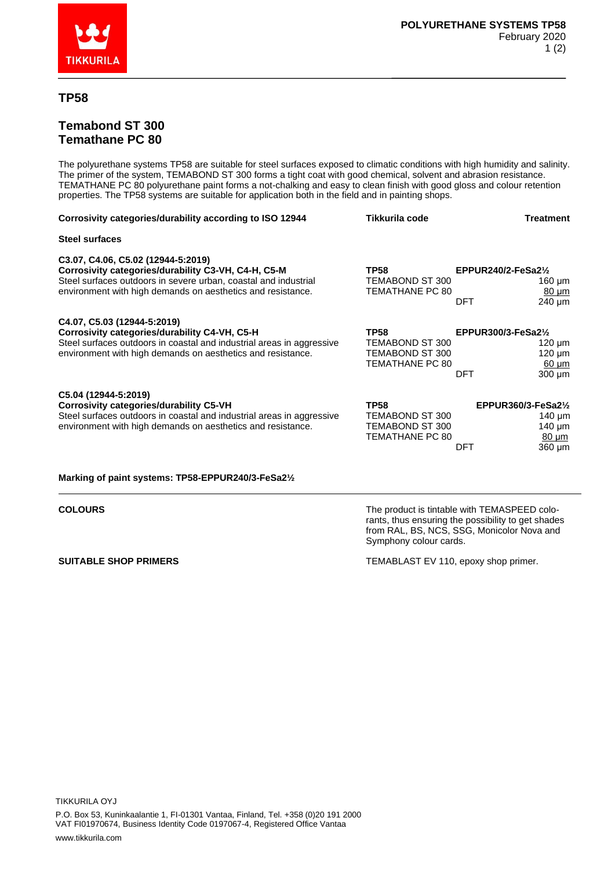

## **TP58**

## **Temabond ST 300 Temathane PC 80**

The polyurethane systems TP58 are suitable for steel surfaces exposed to climatic conditions with high humidity and salinity. The primer of the system, TEMABOND ST 300 forms a tight coat with good chemical, solvent and abrasion resistance. TEMATHANE PC 80 polyurethane paint forms a not-chalking and easy to clean finish with good gloss and colour retention properties. The TP58 systems are suitable for application both in the field and in painting shops.

| Corrosivity categories/durability according to ISO 12944                                                                                                                                                                    | Tikkurila code                                                       | Treatment                                                                                        |
|-----------------------------------------------------------------------------------------------------------------------------------------------------------------------------------------------------------------------------|----------------------------------------------------------------------|--------------------------------------------------------------------------------------------------|
| Steel surfaces                                                                                                                                                                                                              |                                                                      |                                                                                                  |
| C3.07, C4.06, C5.02 (12944-5:2019)<br>Corrosivity categories/durability C3-VH, C4-H, C5-M<br>Steel surfaces outdoors in severe urban, coastal and industrial<br>environment with high demands on aesthetics and resistance. | <b>TP58</b><br>TEMABOND ST 300<br><b>TEMATHANE PC 80</b>             | EPPUR240/2-FeSa2 $\frac{1}{2}$<br>160 µm<br>$80 \mu m$<br>240 µm<br>DFT                          |
| C4.07, C5.03 (12944-5:2019)<br>Corrosivity categories/durability C4-VH, C5-H<br>Steel surfaces outdoors in coastal and industrial areas in aggressive<br>environment with high demands on aesthetics and resistance.        | <b>TP58</b><br>TEMABOND ST 300<br>TEMABOND ST 300<br>TEMATHANE PC 80 | EPPUR300/3-FeSa2 $\frac{1}{2}$<br>$120 \mu m$<br>$120 \mu m$<br>$60 \mu m$<br>DFT<br>$300 \mu m$ |
| C5.04 (12944-5:2019)<br><b>Corrosivity categories/durability C5-VH</b><br>Steel surfaces outdoors in coastal and industrial areas in aggressive<br>environment with high demands on aesthetics and resistance.              | <b>TP58</b><br>TEMABOND ST 300<br>TEMABOND ST 300<br>TEMATHANE PC 80 | EPPUR360/3-FeSa2 $\frac{1}{2}$<br>140 $\mu$ m<br>$140 \mu m$<br>$80 \mu m$<br>360 µm<br>DFT      |

## **Marking of paint systems: TP58-EPPUR240/3-FeSa2½**

**COLOURS The product is tintable with TEMASPEED colo**rants, thus ensuring the possibility to get shades from RAL, BS, NCS, SSG, Monicolor Nova and Symphony colour cards.

**SUITABLE SHOP PRIMERS** TEMABLAST EV 110, epoxy shop primer.